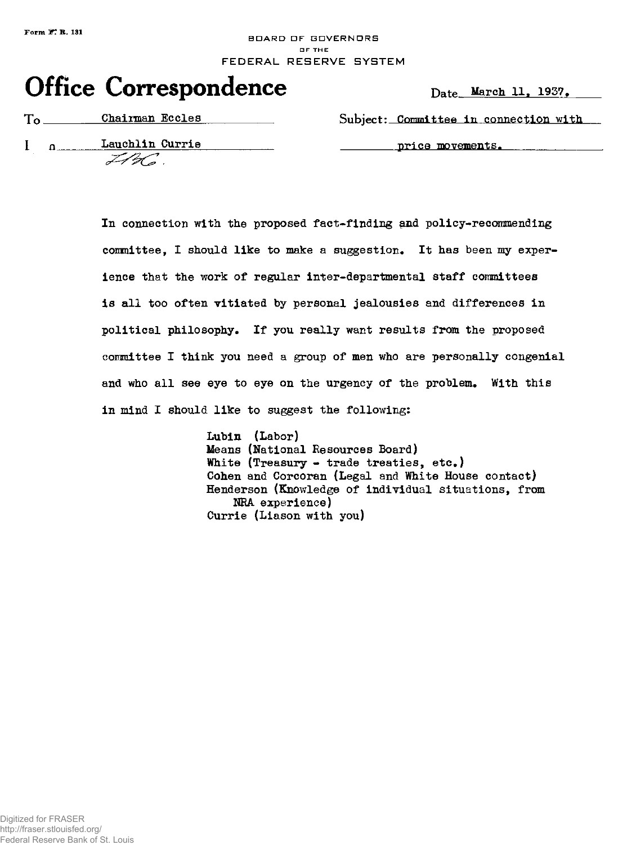## **Form** *if*, **R.** 131 **BOARD DF GOVERNORS O F TH E**  FEDERAL RESERVE SYSTEM

## **Office Correspondence** Date March 11, 1937.

I a Lauchlin Currie

 $ZH_2G$  .

To **Chairman Eccles** Subject: **Committee in connection with** 

**price movements.** 

In connection with the proposed fact-finding and policy-recommending **conmittee, I should like to make a suggestion. It has been my experience that the work of regular inter-departmental staff committees is all too often vitiated by personal jealousies and differences in political philosophy. If you really want results from the proposed coinniittee I think you need a group of men who are personally congenial and who all see eye to eye on the urgency of the problem. With this in mind I should like to suggest the following:** 

> **Lubin (Labor) Means (National Resources Board) White (Treasury - trade treaties, etc.) Cohen and Corcoran (Legal and White House contact) Henderson (Knowledge of individual situations, from NBA experience) Currie (Liason with you)**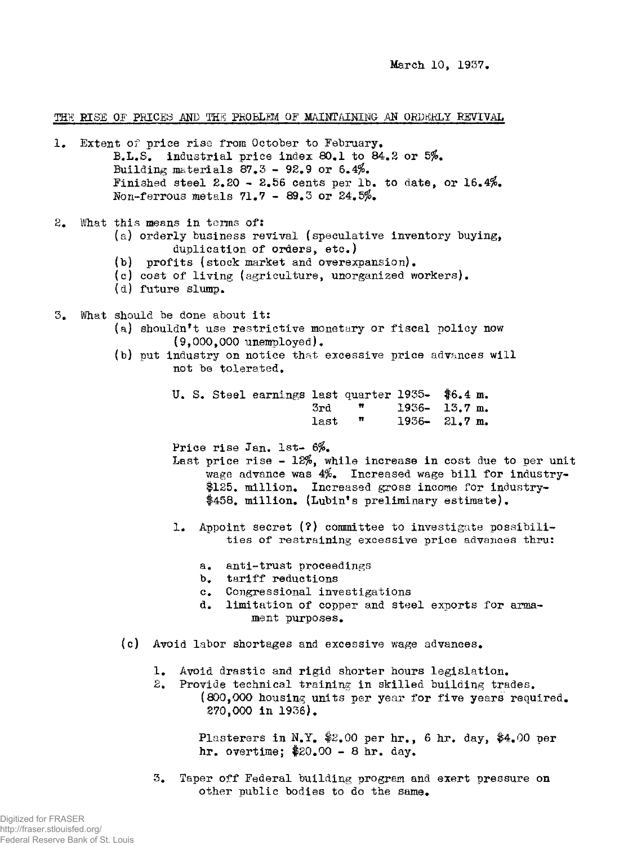March 10, 1937•

THE RISE OF PRICES AND THE PROBLEM OF MAINTAINING AN ORDERLY REVIVAL

- 1. Extent of price rise from October to February. B.L.S. industrial price index 80.1 to 84.2 or 5%. Building materials  $87.3 - 92.9$  or  $6.4\%$ . Finished steel  $2.20 - 2.56$  cents per lb. to date, or 16.4%. Non-ferrous metals 71.7 - 89.3 or 24.5*fo.*  2. What this means in terras of: (a) orderly business revival (speculative inventory buying, duplication of orders, etc.) (b) profits (stock market and overexpansion). (c) cost of living (agriculture, unorganized workers). (d) future slump. 3. What should be done about it: (a) shouldn't use restrictive monetary or fiscal policy now (9,000,000 unemployed). (b) put industry on notice that excessive price advances will not be tolerated. U. S. Steel earnings last quarter  $1935 -$  \$6.4 m.<br>3rd =  $\frac{1936}{1936} - 13.7$  m  $3rd$   $\frac{1936-13.7 \text{ m}}{1936-21.7 \text{ m}}$  $last$   $m$   $1936 - 21.7 m$ . Price rise Jan. 1st- 6%. Last price rise  $-12\%$ , while increase in cost due to per unit wage advance was 4%. Increased wage bill for industry- \$125. million. Increased gross income for Industry- \$458. million. (Lubin\*s preliminary estimate). 1. Appoint secret (?) committee to investigate possibilities of restraining excessive price advances thru: a. anti-trust proceedings b. tariff reductions c. Congressional investigations d. limitation of copper and steel exports for armament purposes. (c) Avoid labor shortages and excessive wage advances. 1. Avoid drastic and rigid shorter hours legislation. 2. Provide technical training in skilled building trades. (800,000 housing units per year for five years required. 270,000 in 1936). Plasterers in N.Y. \$2.00 per hr., 6 hr. day, \$4.00 per hr. overtime; \$20.00 - 8 hr. day.
	- 3. Taper off Federal building program and exert pressure on other public bodies to do the same.